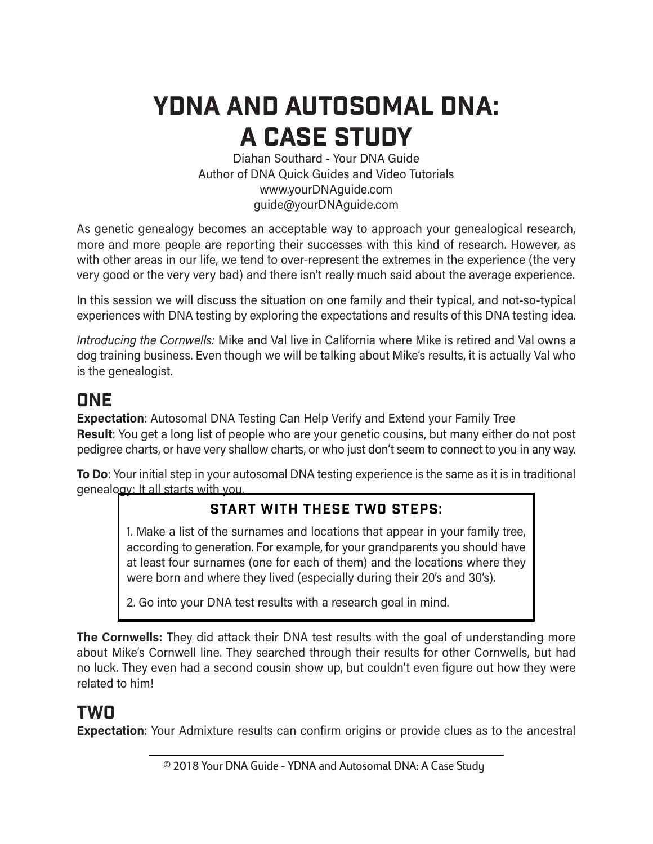# YDNA and autosomal DNA: A Case Study

Diahan Southard - Your DNA Guide Author of DNA Quick Guides and Video Tutorials www.yourDNAguide.com guide@yourDNAguide.com

As genetic genealogy becomes an acceptable way to approach your genealogical research, more and more people are reporting their successes with this kind of research. However, as with other areas in our life, we tend to over-represent the extremes in the experience (the very very good or the very very bad) and there isn't really much said about the average experience.

In this session we will discuss the situation on one family and their typical, and not-so-typical experiences with DNA testing by exploring the expectations and results of this DNA testing idea.

*Introducing the Cornwells:* Mike and Val live in California where Mike is retired and Val owns a dog training business. Even though we will be talking about Mike's results, it is actually Val who is the genealogist.

## **ONE**

**Expectation**: Autosomal DNA Testing Can Help Verify and Extend your Family Tree **Result**: You get a long list of people who are your genetic cousins, but many either do not post pedigree charts, or have very shallow charts, or who just don't seem to connect to you in any way.

**To Do**: Your initial step in your autosomal DNA testing experience is the same as it is in traditional genealogy: It all starts with you.

#### Start With These Two Steps:

1. Make a list of the surnames and locations that appear in your family tree, according to generation. For example, for your grandparents you should have at least four surnames (one for each of them) and the locations where they were born and where they lived (especially during their 20's and 30's).

2. Go into your DNA test results with a research goal in mind.

**The Cornwells:** They did attack their DNA test results with the goal of understanding more about Mike's Cornwell line. They searched through their results for other Cornwells, but had no luck. They even had a second cousin show up, but couldn't even figure out how they were related to him!

#### TWO

**Expectation**: Your Admixture results can confirm origins or provide clues as to the ancestral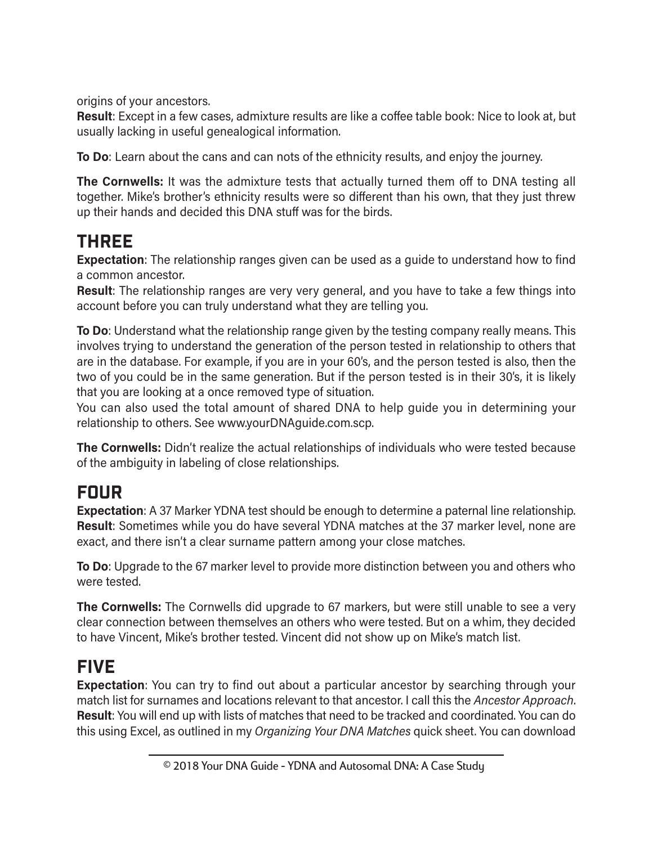origins of your ancestors.

**Result**: Except in a few cases, admixture results are like a coffee table book: Nice to look at, but usually lacking in useful genealogical information.

**To Do**: Learn about the cans and can nots of the ethnicity results, and enjoy the journey.

**The Cornwells:** It was the admixture tests that actually turned them off to DNA testing all together. Mike's brother's ethnicity results were so different than his own, that they just threw up their hands and decided this DNA stuff was for the birds.

# THREE

**Expectation**: The relationship ranges given can be used as a guide to understand how to find a common ancestor.

**Result**: The relationship ranges are very very general, and you have to take a few things into account before you can truly understand what they are telling you.

**To Do**: Understand what the relationship range given by the testing company really means. This involves trying to understand the generation of the person tested in relationship to others that are in the database. For example, if you are in your 60's, and the person tested is also, then the two of you could be in the same generation. But if the person tested is in their 30's, it is likely that you are looking at a once removed type of situation.

You can also used the total amount of shared DNA to help guide you in determining your relationship to others. See www.yourDNAguide.com.scp.

**The Cornwells:** Didn't realize the actual relationships of individuals who were tested because of the ambiguity in labeling of close relationships.

# FOUR

**Expectation**: A 37 Marker YDNA test should be enough to determine a paternal line relationship. **Result**: Sometimes while you do have several YDNA matches at the 37 marker level, none are exact, and there isn't a clear surname pattern among your close matches.

**To Do**: Upgrade to the 67 marker level to provide more distinction between you and others who were tested.

**The Cornwells:** The Cornwells did upgrade to 67 markers, but were still unable to see a very clear connection between themselves an others who were tested. But on a whim, they decided to have Vincent, Mike's brother tested. Vincent did not show up on Mike's match list.

# FIVE

**Expectation**: You can try to find out about a particular ancestor by searching through your match list for surnames and locations relevant to that ancestor. I call this the *Ancestor Approach*. **Result**: You will end up with lists of matches that need to be tracked and coordinated. You can do this using Excel, as outlined in my *Organizing Your DNA Matches* quick sheet. You can download

 <sup>© 2018</sup> Your DNA Guide - YDNA and Autosomal DNA: A Case Study